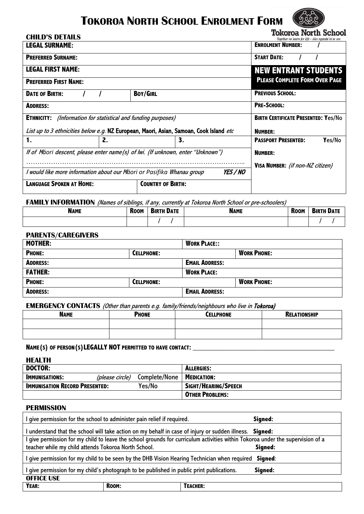# **TOKOROA NORTH SCHOOL ENROLMENT FORM**



**Tokoroa North School** 

| <b>CHILD'S DETAILS</b>                                                                 |    |                          |    |  | TOMOTOG TIOTIH DUILOOT<br>Together we learn for life - Ako ngatahi ki te ora |
|----------------------------------------------------------------------------------------|----|--------------------------|----|--|------------------------------------------------------------------------------|
| <b>LEGAL SURNAME:</b>                                                                  |    |                          |    |  | <b>ENROLMENT NUMBER:</b>                                                     |
| <b>PREFERRED SURNAME:</b>                                                              |    |                          |    |  | <b>START DATE:</b>                                                           |
| <b>LEGAL FIRST NAME:</b>                                                               |    |                          |    |  | <b>NEW ENTRANT STUDENTS</b>                                                  |
| <b>PREFERRED FIRST NAME:</b>                                                           |    |                          |    |  | <b>PLEASE COMPLETE FORM OVER PAGE</b>                                        |
| <b>DATE OF BIRTH:</b>                                                                  |    | <b>BOY/GIRL</b>          |    |  | <b>PREVIOUS SCHOOL:</b>                                                      |
| <b>ADDRESS:</b>                                                                        |    |                          |    |  | <b>PRE-SCHOOL:</b>                                                           |
| <b>ETHNICITY:</b> (Information for statistical and funding purposes)                   |    |                          |    |  | <b>BIRTH CERTIFICATE PRESENTED: Yes/No</b>                                   |
| List up to 3 ethnicities below e.g. NZ European, Maori, Asian, Samoan, Cook Island etc |    |                          |    |  | <b>NUMBER:</b>                                                               |
| 1.                                                                                     | 2. |                          | 3. |  | <b>PASSPORT PRESENTED:</b><br>Yes/No                                         |
| If of Māori descent, please enter name (s) of Iwi. (If unknown, enter "Unknown")       |    |                          |    |  | <b>NUMBER:</b>                                                               |
|                                                                                        |    |                          |    |  | VISA NUMBER: (if non-NZ citizen)                                             |
| I would like more information about our Māori or Pasifika Whanau group<br>YES / NO     |    |                          |    |  |                                                                              |
| <b>LANGUAGE SPOKEN AT HOME:</b>                                                        |    | <b>COUNTRY OF BIRTH:</b> |    |  |                                                                              |

### **FAMILY INFORMATION** (Names of siblings, if any, currently at Tokoroa North School or pre-schoolers)

| <b>NAME</b> | <b>Room</b> | <b>BIRTH DATE</b> | <b>NAME</b> | <b>Room</b> | <b>BIRTH DATE</b> |
|-------------|-------------|-------------------|-------------|-------------|-------------------|
|             |             |                   |             |             |                   |

### **PARENTS/CAREGIVERS**

| <b>MOTHER:</b>  |                   | <b>WORK PLACE::</b>   |                    |
|-----------------|-------------------|-----------------------|--------------------|
| <b>PHONE:</b>   | <b>CELLPHONE:</b> |                       | <b>WORK PHONE:</b> |
| <b>ADDRESS:</b> |                   | <b>EMAIL ADDRESS:</b> |                    |
| <b>FATHER:</b>  |                   | <b>WORK PLACE:</b>    |                    |
| <b>PHONE:</b>   | <b>CELLPHONE:</b> |                       | <b>WORK PHONE:</b> |
| <b>ADDRESS:</b> |                   | <b>EMAIL ADDRESS:</b> |                    |

**EMERGENCY CONTACTS** (Other than parents e.g. family/friends/neighbours who live in Tokoroa)

| <b>NAME</b> | <b>PHONE</b> | <b>CELLPHONE</b> | <b>RELATIONSHIP</b> |
|-------------|--------------|------------------|---------------------|
|             |              |                  |                     |
|             |              |                  |                     |

### **NAME(S) OF PERSON(S)LEGALLY NOT PERMITTED TO HAVE CONTACT: \_\_\_\_\_\_\_\_\_\_\_\_\_\_\_\_\_\_\_\_\_\_\_\_\_\_\_\_\_\_\_\_\_\_\_**

| <b>HEALTH</b>                                   |                 |                             |                        |
|-------------------------------------------------|-----------------|-----------------------------|------------------------|
| <b>DOCTOR:</b>                                  |                 |                             | <b>ALLERGIES:</b>      |
| <b>IMMUNISATIONS:</b>                           | (please circle) | Complete/None   MEDICATION: |                        |
| <b>IMMUNISATION RECORD PRESENTED:</b><br>Yes/No |                 |                             | SIGHT/HEARING/SPEECH   |
|                                                 |                 |                             | <b>OTHER PROBLEMS:</b> |

#### **PERMISSION**

| give permission for the school to administer pain relief if required.                                 |                                                                                                                              |          | Signed: |  |  |
|-------------------------------------------------------------------------------------------------------|------------------------------------------------------------------------------------------------------------------------------|----------|---------|--|--|
| understand that the school will take action on my behalf in case of injury or sudden illness. Signed: |                                                                                                                              |          |         |  |  |
|                                                                                                       | give permission for my child to leave the school grounds for curriculum activities within Tokoroa under the supervision of a |          |         |  |  |
| teacher while my child attends Tokoroa North School.                                                  |                                                                                                                              | Signed:  |         |  |  |
| give permission for my child to be seen by the DHB Vision Hearing Technician when required Signed:    |                                                                                                                              |          |         |  |  |
| give permission for my child's photograph to be published in public print publications.<br>Signed:    |                                                                                                                              |          |         |  |  |
| <b>OFFICE USE</b>                                                                                     |                                                                                                                              |          |         |  |  |
| YEAR:                                                                                                 | ROOM:                                                                                                                        | TEACHER: |         |  |  |